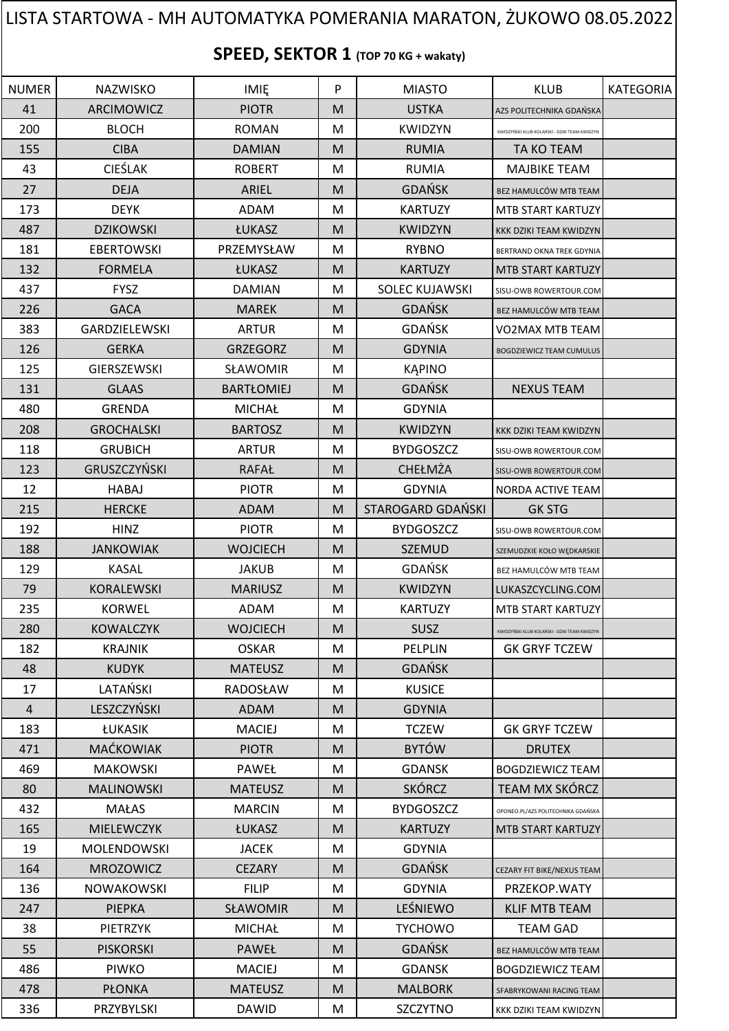## NUMER | NAZWISKO | IMIĘ | P | MIASTO | KLUB |KATEGORIA 41 | ARCIMOWICZ | PIOTR | M | USTKA | AZS POLITECHNIKA GDAŃSK 200 BLOCH ROMAN M KWIDZYN KWIDZYŃSKI KLUB KOLARSKI - DZIKI TEAM KWIDZYN 155 | CIBA | DAMIAN | M | RUMIA | TA KO TEAM 43 | CIEŚLAK | ROBERT | M | RUMIA | MAJBIKE TEAM 27 | DEJA | ARIEL | M | GDAŃSK | BEZ HAMULCÓW MTB TEAN 173 | DEYK | ADAM | M | KARTUZY | MTB START KARTUZY **487 | DZIKOWSKI | ŁUKASZ | M | KWIDZYN | KKK DZIKI TEAM KWIDZYN** 181 | EBERTOWSKI | PRZEMYSŁAW | M | RYBNO | BERTRAND OKNA TREK GDYNIA 132 | FORMELA | ŁUKASZ | M | KARTUZY | MTB START KARTUZY 437 | FYSZ | DAMIAN | M SOLEC KUJAWSKI SISU-OWB ROWERTOUR.COM 226 GACA MAREK M GDAŃSK BEZ HAMULCÓW MTB TEAM 383 GARDZIELEWSKI ARTUR M M GDAŃSK VO2MAX MTB TEAM 126 GERKA GRZEGORZ M GDYNIA BOGDZIEWICZ TEAM CUMULUS 125 GIERSZEWSKI SŁAWOMIR M M KAPINO 131 GLAAS BARTŁOMIEJ M GDAŃSK NEXUS TEAM 480 | GRENDA | MICHAŁ |M | GDYNIA 208 GROCHALSKI I BARTOSZ M M KWIDZYN KKK DZIKI TEAM KWIDZYN 118 | GRUBICH | ARTUR | M | BYDGOSZCZ | SISU-OWB ROWERTOUR.COM 123 GRUSZCZYŃSKI RAFAŁ M CHEŁMŻA SISU-OWB ROWERTOUR.CON 12 | HABAJ | PIOTR | M | GDYNIA | NORDA ACTIVE TEAM 215 HERCKE HADAM M STAROGARD GDAŃSKI GK STG 192 HINZ **HING M** PIOTR M BYDGOSZCZ SISU-OWB ROWERTOUR.COM 188 | JANKOWIAK | WOJCIECH | M | SZEMUD | SZEMUDZKIE KOŁO WĘDKARSKIE 129 KASAL I JAKUB M GDAŃSK BEZ HAMULCÓW MTB TEAM 79 | KORALEWSKI | MARIUSZ | M | KWIDZYN |LUKASZCYCLING.COM 235 KORWEL | ADAM | M | KARTUZY | MTB START KARTUZY 280 | KOWALCZYK | WOJCIECH | M | SUSZ 182 | KRAJNIK | OSKAR | M | PELPLIN | GK GRYF TCZEW 48 | KUDYK | MATEUSZ | M | GDAŃSK 17 LATAŃSKI HRADOSŁAW MINISTOR KUSICE 4 LESZCZYŃSKI ADAM M M 183 ŁUKASIK | MACIEJ | M | TCZEW | GK GRYF TCZEW 471 | MAĆKOWIAK | PIOTR | M | BYTÓW | DRUTEX 469 MAKOWSKI PAWEŁ M GDANSK BOGDZIEWICZ TEAM 80 | MALINOWSKI | MATEUSZ |M | SKÓRCZ | TEAM MX SKÓRCZ **432 MAŁAS MARCIN M BYDGOSZCZ** OPONEO.PL/AZS POLITECHNIKA GE 165 | MIELEWCZYK | ŁUKASZ | M | KARTUZY | MTB START KARTUZY 19 | MOLENDOWSKI | JACEK | M | GDYNIA 164 | MROZOWICZ | CEZARY | M | GDAŃSK | CEZARY FIT BIKE/NEXUS TEAM 136 | NOWAKOWSKI | FILIP | M | GDYNIA | PRZEKOP.WATY 247 | PIEPKA | SŁAWOMIR | M | LEŚNIEWO | KLIF MTB TEAM 38 | PIETRZYK | MICHAŁ |M | TYCHOWO | TEAM-GAD 55 | PISKORSKI | PAWEŁ | M | GDAŃSK | BEZ HAMULCÓW MTB TEAM 486 PIWKO | MACIEJ | M | GDANSK |BOGDZIEWICZ TEAM 478 | PŁONKA | MATEUSZ | M | MALBORK | SFABRYKOWANI RACING TEAM **SPEED, SEKTOR 1 (TOP 70 KG + wakaty)** LISTA STARTOWA - MH AUTOMATYKA POMERANIA MARATON, ŻUKOWO 08.05.2022

336 | PRZYBYLSKI | DAWID | M SZCZYTNO | KKK DZIKI TEAM KWIDZYN